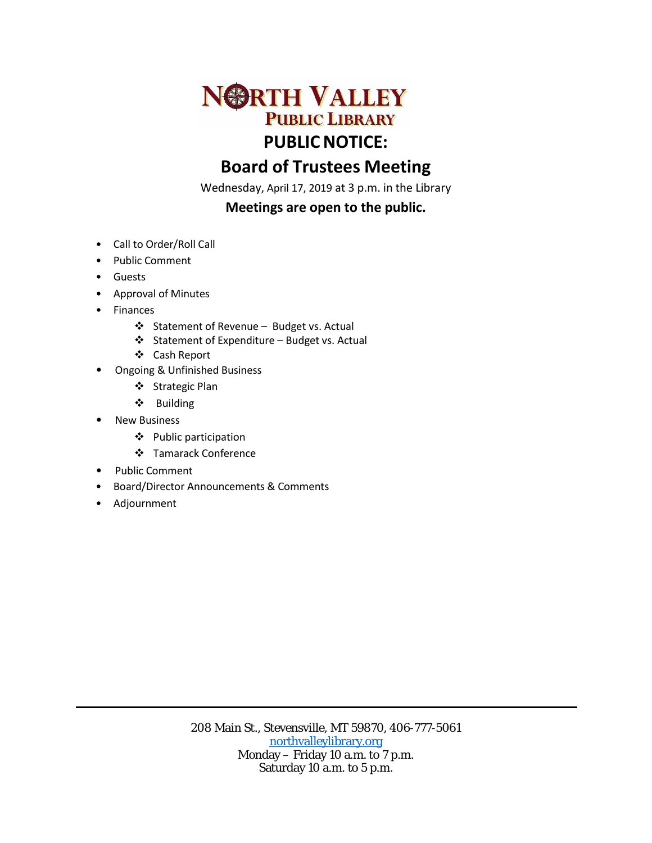

## **Board of Trustees Meeting**

Wednesday, April 17, 2019 at 3 p.m. in the Library

## **Meetings are open to the public.**

- Call to Order/Roll Call
- Public Comment
- Guests
- Approval of Minutes
- Finances
	- ❖ Statement of Revenue Budget vs. Actual
	- Statement of Expenditure Budget vs. Actual
	- Cash Report
- Ongoing & Unfinished Business
	- ❖ Strategic Plan
	- Building
- New Business
	- Public participation
	- Tamarack Conference
- Public Comment
- Board/Director Announcements & Comments
- Adjournment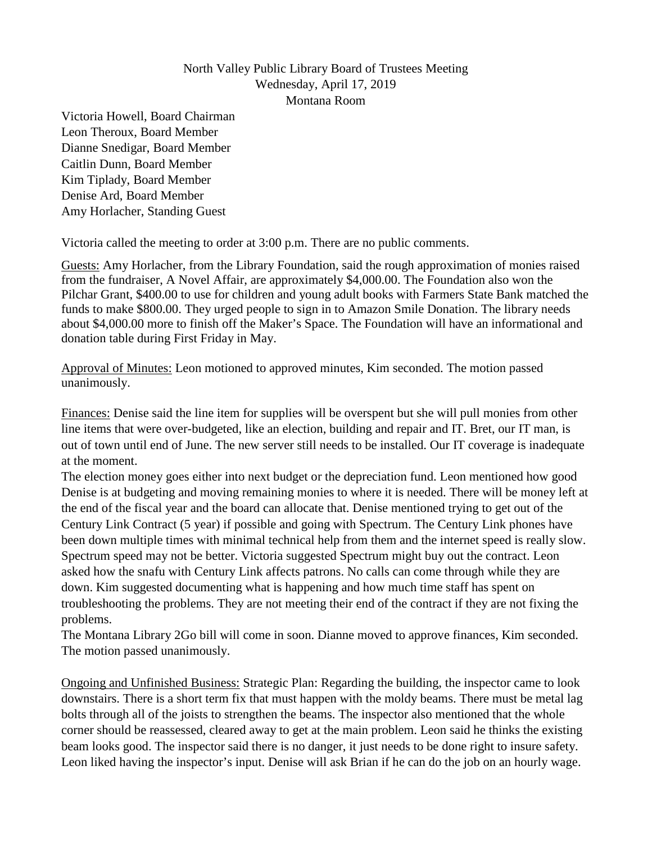## North Valley Public Library Board of Trustees Meeting Wednesday, April 17, 2019 Montana Room

Victoria Howell, Board Chairman Leon Theroux, Board Member Dianne Snedigar, Board Member Caitlin Dunn, Board Member Kim Tiplady, Board Member Denise Ard, Board Member Amy Horlacher, Standing Guest

Victoria called the meeting to order at 3:00 p.m. There are no public comments.

Guests: Amy Horlacher, from the Library Foundation, said the rough approximation of monies raised from the fundraiser, A Novel Affair, are approximately \$4,000.00. The Foundation also won the Pilchar Grant, \$400.00 to use for children and young adult books with Farmers State Bank matched the funds to make \$800.00. They urged people to sign in to Amazon Smile Donation. The library needs about \$4,000.00 more to finish off the Maker's Space. The Foundation will have an informational and donation table during First Friday in May.

Approval of Minutes: Leon motioned to approved minutes, Kim seconded. The motion passed unanimously.

Finances: Denise said the line item for supplies will be overspent but she will pull monies from other line items that were over-budgeted, like an election, building and repair and IT. Bret, our IT man, is out of town until end of June. The new server still needs to be installed. Our IT coverage is inadequate at the moment.

The election money goes either into next budget or the depreciation fund. Leon mentioned how good Denise is at budgeting and moving remaining monies to where it is needed. There will be money left at the end of the fiscal year and the board can allocate that. Denise mentioned trying to get out of the Century Link Contract (5 year) if possible and going with Spectrum. The Century Link phones have been down multiple times with minimal technical help from them and the internet speed is really slow. Spectrum speed may not be better. Victoria suggested Spectrum might buy out the contract. Leon asked how the snafu with Century Link affects patrons. No calls can come through while they are down. Kim suggested documenting what is happening and how much time staff has spent on troubleshooting the problems. They are not meeting their end of the contract if they are not fixing the problems.

The Montana Library 2Go bill will come in soon. Dianne moved to approve finances, Kim seconded. The motion passed unanimously.

Ongoing and Unfinished Business: Strategic Plan: Regarding the building, the inspector came to look downstairs. There is a short term fix that must happen with the moldy beams. There must be metal lag bolts through all of the joists to strengthen the beams. The inspector also mentioned that the whole corner should be reassessed, cleared away to get at the main problem. Leon said he thinks the existing beam looks good. The inspector said there is no danger, it just needs to be done right to insure safety. Leon liked having the inspector's input. Denise will ask Brian if he can do the job on an hourly wage.